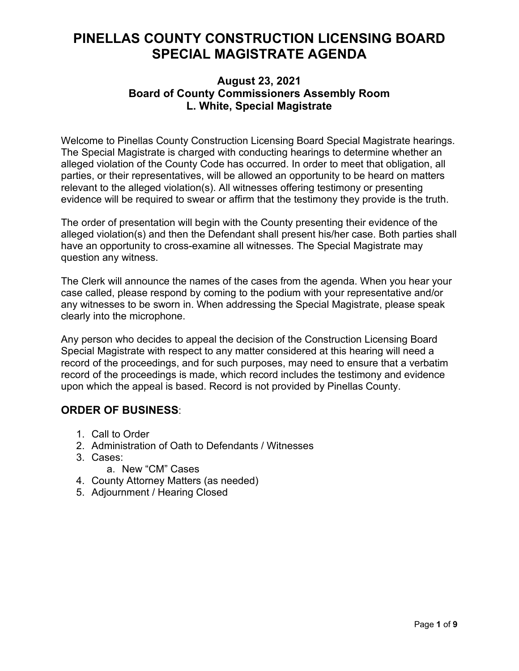## **PINELLAS COUNTY CONSTRUCTION LICENSING BOARD SPECIAL MAGISTRATE AGENDA**

## **August 23, 2021 Board of County Commissioners Assembly Room L. White, Special Magistrate**

Welcome to Pinellas County Construction Licensing Board Special Magistrate hearings. The Special Magistrate is charged with conducting hearings to determine whether an alleged violation of the County Code has occurred. In order to meet that obligation, all parties, or their representatives, will be allowed an opportunity to be heard on matters relevant to the alleged violation(s). All witnesses offering testimony or presenting evidence will be required to swear or affirm that the testimony they provide is the truth.

The order of presentation will begin with the County presenting their evidence of the alleged violation(s) and then the Defendant shall present his/her case. Both parties shall have an opportunity to cross-examine all witnesses. The Special Magistrate may question any witness.

The Clerk will announce the names of the cases from the agenda. When you hear your case called, please respond by coming to the podium with your representative and/or any witnesses to be sworn in. When addressing the Special Magistrate, please speak clearly into the microphone.

Any person who decides to appeal the decision of the Construction Licensing Board Special Magistrate with respect to any matter considered at this hearing will need a record of the proceedings, and for such purposes, may need to ensure that a verbatim record of the proceedings is made, which record includes the testimony and evidence upon which the appeal is based. Record is not provided by Pinellas County.

## **ORDER OF BUSINESS**:

- 1. Call to Order
- 2. Administration of Oath to Defendants / Witnesses
- 3. Cases:
	- a. New "CM" Cases
- 4. County Attorney Matters (as needed)
- 5. Adjournment / Hearing Closed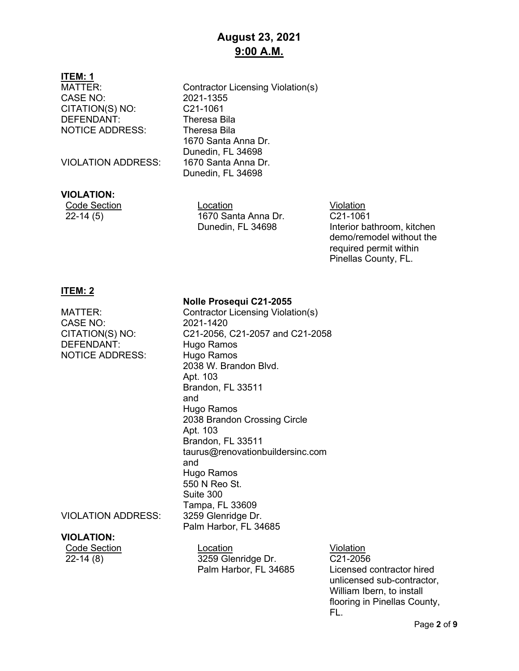## **August 23, 2021 9:00 A.M.**

## **ITEM: 1**

CASE NO: 2021-1355<br>CITATION(S) NO: C21-1061 CITATION(S) NO: DEFENDANT: Theresa Bila NOTICE ADDRESS: Theresa Bila

VIOLATION ADDRESS: 1670 Santa Anna Dr.

#### **VIOLATION:**

MATTER: Contractor Licensing Violation(s) 1670 Santa Anna Dr. Dunedin, FL 34698 Dunedin, FL 34698

**Code Section Code Section Code Section** Code Section Code Section Code Section Code Section Code Section Code S 22-14 (5) 1670 Santa Anna Dr. Dunedin, FL 34698

C21-1061 Interior bathroom, kitchen demo/remodel without the required permit within Pinellas County, FL.

#### **ITEM: 2**

CASE NO: 2021-1420 NOTICE ADDRESS: Hugo Ramos

#### **Nolle Prosequi C21-2055**

MATTER: Contractor Licensing Violation(s) CITATION(S) NO: C21-2056, C21-2057 and C21-2058 Hugo Ramos 2038 W. Brandon Blvd. Apt. 103 Brandon, FL 33511 and Hugo Ramos 2038 Brandon Crossing Circle Apt. 103 Brandon, FL 33511 taurus@renovationbuildersinc.com and Hugo Ramos 550 N Reo St. Suite 300 Tampa, FL 33609 Palm Harbor, FL 34685

VIOLATION ADDRESS: 3259 Glenridge Dr.

## **VIOLATION:**

Code Section Location Location Location Violation<br>22-14 (8) 3259 Glenridge Dr. C21-2056 3259 Glenridge Dr. Palm Harbor, FL 34685

C21-2056 Licensed contractor hired unlicensed sub-contractor, William Ibern, to install flooring in Pinellas County, FL.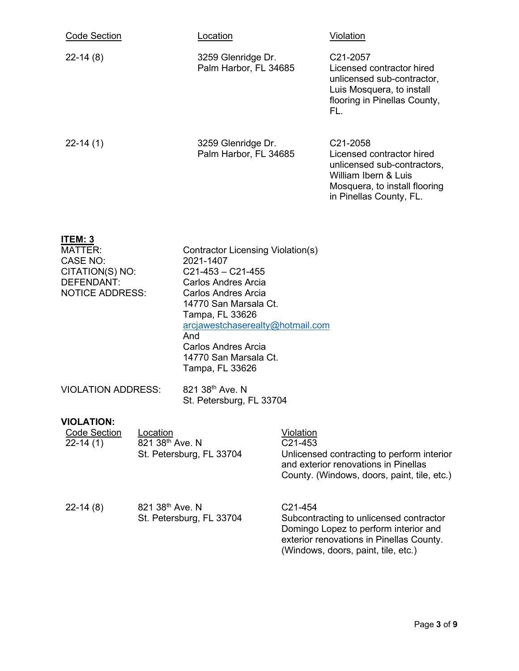| <b>Code Section</b>                               | <u>Location</u>                                                       | <u>Violation</u>                                                                                                                                                      |
|---------------------------------------------------|-----------------------------------------------------------------------|-----------------------------------------------------------------------------------------------------------------------------------------------------------------------|
| $22 - 14(8)$                                      | 3259 Glenridge Dr.<br>Palm Harbor, FL 34685                           | C <sub>21</sub> -2057<br>Licensed contractor hired<br>unlicensed sub-contractor,<br>Luis Mosquera, to install<br>flooring in Pinellas County,<br>FL.                  |
| $22 - 14(1)$                                      | 3259 Glenridge Dr.<br>Palm Harbor, FL 34685                           | C <sub>21</sub> -2058<br>Licensed contractor hired<br>unlicensed sub-contractors,<br>William Ibern & Luis<br>Mosquera, to install flooring<br>in Pinellas County, FL. |
| ITEM: 3<br>MATTER:<br>CASE NO:<br>CITATION(S) NO: | Contractor Licensing Violation(s)<br>2021-1407<br>$C21-453 - C21-455$ |                                                                                                                                                                       |

| CITATION(S) NO:           | C21-453 - C21-455                |
|---------------------------|----------------------------------|
| DEFENDANT:                | Carlos Andres Arcia              |
| <b>NOTICE ADDRESS:</b>    | Carlos Andres Arcia              |
|                           | 14770 San Marsala Ct.            |
|                           | Tampa, FL 33626                  |
|                           | arcjawestchaserealty@hotmail.com |
|                           | And                              |
|                           | Carlos Andres Arcia              |
|                           | 14770 San Marsala Ct.            |
|                           | Tampa, FL 33626                  |
|                           |                                  |
| <b>VIOLATION ADDRESS:</b> | 821 38th Ave. N                  |
|                           | St. Petersburg, FL 33704         |
|                           |                                  |

## **VIOLATION:**

| <b>Code Section</b><br>$22-14(1)$ | Location<br>821 38th Ave. N<br>St. Petersburg, FL 33704 | Violation<br>C <sub>21</sub> -453<br>Unlicensed contracting to perform interior<br>and exterior renovations in Pinellas<br>County. (Windows, doors, paint, tile, etc.)                      |
|-----------------------------------|---------------------------------------------------------|---------------------------------------------------------------------------------------------------------------------------------------------------------------------------------------------|
| $22-14(8)$                        | 821 38 <sup>th</sup> Ave. N<br>St. Petersburg, FL 33704 | C <sub>21</sub> -454<br>Subcontracting to unlicensed contractor<br>Domingo Lopez to perform interior and<br>exterior renovations in Pinellas County.<br>(Windows, doors, paint, tile, etc.) |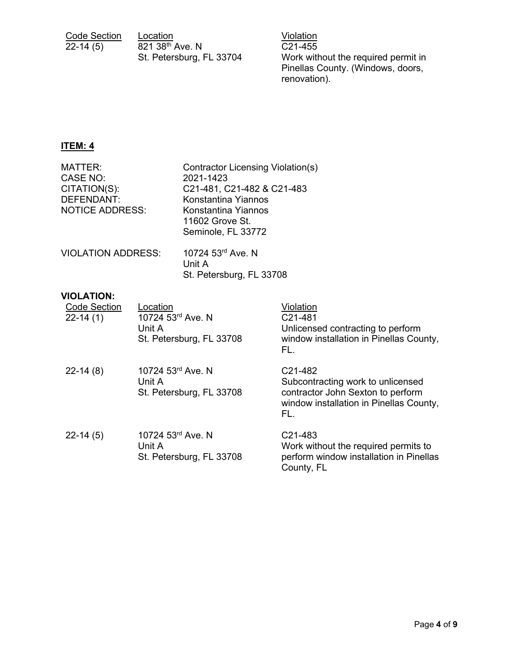| <b>Code Section</b> | Location                 | Violation |
|---------------------|--------------------------|-----------|
| $22-14(5)$          | 821 38th Ave. N          | C21-455   |
|                     | St. Petersburg, FL 33704 | Work with |

C21-455 Work without the required permit in Pinellas County. (Windows, doors, renovation).

## **ITEM: 4**

| <b>MATTER:</b>            | <b>Contractor Licensing Violation(s)</b>                     |
|---------------------------|--------------------------------------------------------------|
| CASE NO:<br>CITATION(S):  | 2021-1423<br>C21-481, C21-482 & C21-483                      |
| DEFENDANT:                | Konstantina Yiannos                                          |
| <b>NOTICE ADDRESS:</b>    | Konstantina Yiannos<br>11602 Grove St.<br>Seminole, FL 33772 |
| <b>VIOLATION ADDRESS:</b> | 10724 53rd Ave. N<br>Unit A<br>St. Petersburg, FL 33708      |

#### **VIOLATION:**

| <b>Code Section</b><br>$22 - 14(1)$ | Location<br>10724 53rd Ave. N<br>Unit A<br>St. Petersburg, FL 33708 | Violation<br>C <sub>21</sub> -481<br>Unlicensed contracting to perform<br>window installation in Pinellas County,<br>FL.                                     |
|-------------------------------------|---------------------------------------------------------------------|--------------------------------------------------------------------------------------------------------------------------------------------------------------|
| $22-14(8)$                          | 10724 53rd Ave. N<br>Unit A<br>St. Petersburg, FL 33708             | C <sub>21</sub> -48 <sub>2</sub><br>Subcontracting work to unlicensed<br>contractor John Sexton to perform<br>window installation in Pinellas County,<br>FL. |
| $22-14(5)$                          | 10724 53rd Ave. N<br>Unit A<br>St. Petersburg, FL 33708             | C <sub>21</sub> -483<br>Work without the required permits to<br>perform window installation in Pinellas<br>County, FL                                        |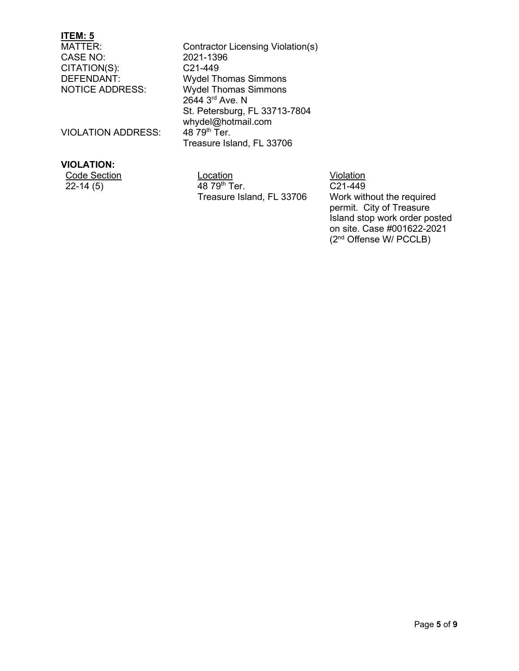# **ITEM: 5**

CASE NO: 2021-139<br>CITATION(S): C21-449 CITATION(S):

Contractor Licensing Violation(s)<br>2021-1396 DEFENDANT: Wydel Thomas Simmons<br>
NOTICE ADDRESS: Wydel Thomas Simmons Wydel Thomas Simmons 2644 3rd Ave. N St. Petersburg, FL 33713-7804 whydel@hotmail.com<br>48 79<sup>th</sup> Ter. Treasure Island, FL 33706

VIOLATION ADDRESS:

## **VIOLATION:**

 $\overline{22-14(5)}$   $\overline{48.79^{th}}$  Ter.

Code Section **Location Location Location Violation** Treasure Island, FL 33706

C21-449 Work without the required permit. City of Treasure Island stop work order posted on site. Case #001622-2021 (2nd Offense W/ PCCLB)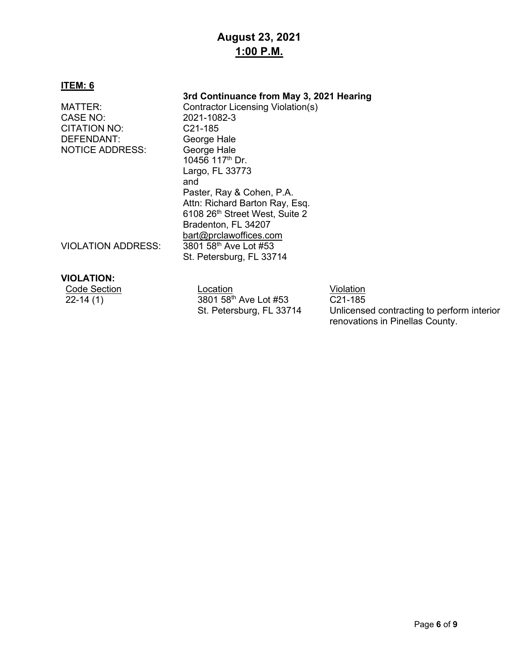## **August 23, 2021 1:00 P.M.**

#### **ITEM: 6**

## **3rd Continuance from May 3, 2021 Hearing**

CITATION NO: C21-185 DEFENDANT: George Hale<br>NOTICE ADDRESS: George Hale **NOTICE ADDRESS:** 

MATTER: Contractor Licensing Violation(s)<br>CASE NO: 2021-1082-3 CASE NO: 2021-1082-3 10456 117th Dr. Largo, FL 33773 and Paster, Ray & Cohen, P.A. Attn: Richard Barton Ray, Esq. 6108 26<sup>th</sup> Street West, Suite 2 Bradenton, FL 34207 [bart@prclawoffices.com](mailto:bart@prclawoffices.com) VIOLATION ADDRESS: 3801 58th Ave Lot #53 St. Petersburg, FL 33714

#### **VIOLATION:**

| Code Section | ∟ocation                          | Violation                                      |
|--------------|-----------------------------------|------------------------------------------------|
| $22 - 14(1)$ | 3801 58 <sup>th</sup> Ave Lot #53 | C <sub>21</sub> -185                           |
|              | St Datarchurg El 33711            | <u>I Inlicensed contracting to nerform int</u> |

St. Petersburg, FL 33714

Unlicensed contracting to perform interior renovations in Pinellas County.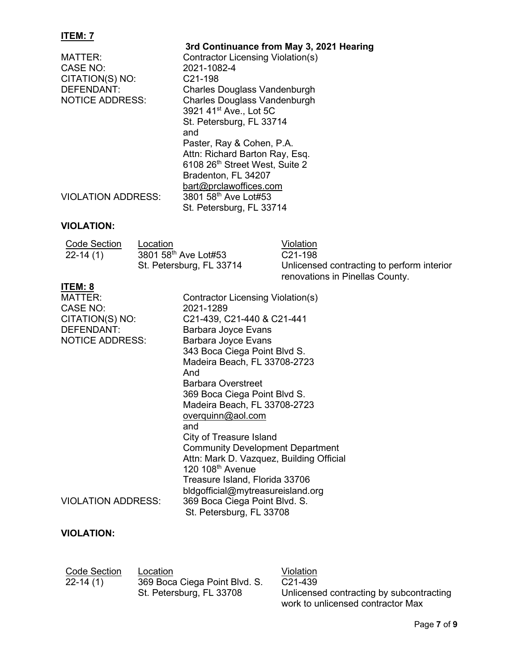## **ITEM: 7**

| MATTER:<br>CASE NO:<br>CITATION(S) NO:<br>DEFENDANT:<br><b>NOTICE ADDRESS:</b> | 3rd Continuance from May 3, 2021 Hearing<br>Contractor Licensing Violation(s)<br>2021-1082-4<br>C <sub>21</sub> -198<br><b>Charles Douglass Vandenburgh</b><br><b>Charles Douglass Vandenburgh</b><br>3921 41 <sup>st</sup> Ave., Lot 5C<br>St. Petersburg, FL 33714<br>and<br>Paster, Ray & Cohen, P.A.<br>Attn: Richard Barton Ray, Esq.<br>6108 26th Street West, Suite 2<br>Bradenton, FL 34207 |
|--------------------------------------------------------------------------------|-----------------------------------------------------------------------------------------------------------------------------------------------------------------------------------------------------------------------------------------------------------------------------------------------------------------------------------------------------------------------------------------------------|
| <b>VIOLATION ADDRESS:</b>                                                      | bart@prclawoffices.com<br>3801 58th Ave Lot#53<br>St. Petersburg, FL 33714                                                                                                                                                                                                                                                                                                                          |

## **VIOLATION:**

| Code Section | Location                 | Violation                                  |
|--------------|--------------------------|--------------------------------------------|
| $22 - 14(1)$ | 3801 58th Ave Lot#53     | C <sub>21</sub> -198                       |
|              | St. Petersburg, FL 33714 | Unlicensed contracting to perform interior |
|              |                          | renovations in Pinellas County.            |

## **ITEM: 8**

| <b>MATTER:</b><br><b>CASE NO:</b> | Contractor Licensing Violation(s)<br>2021-1289                     |
|-----------------------------------|--------------------------------------------------------------------|
| CITATION(S) NO:                   | C21-439, C21-440 & C21-441                                         |
| DEFENDANT:                        | Barbara Joyce Evans                                                |
| <b>NOTICE ADDRESS:</b>            | Barbara Joyce Evans                                                |
|                                   | 343 Boca Ciega Point Blvd S.                                       |
|                                   | Madeira Beach, FL 33708-2723                                       |
|                                   | And                                                                |
|                                   | Barbara Overstreet                                                 |
|                                   | 369 Boca Ciega Point Blvd S.                                       |
|                                   | Madeira Beach, FL 33708-2723                                       |
|                                   | overquinn@aol.com                                                  |
|                                   | and                                                                |
|                                   | City of Treasure Island<br><b>Community Development Department</b> |
|                                   | Attn: Mark D. Vazquez, Building Official                           |
|                                   | 120 108 <sup>th</sup> Avenue                                       |
|                                   | Treasure Island, Florida 33706                                     |
|                                   | bldgofficial@mytreasureisland.org                                  |
| <b>VIOLATION ADDRESS:</b>         | 369 Boca Ciega Point Blvd. S.                                      |
|                                   | St. Petersburg, FL 33708                                           |
|                                   |                                                                    |

## **VIOLATION:**

| <b>Code Section</b> | Loc        |
|---------------------|------------|
| $22 - 14(1)$        | 369        |
|                     | <b>CLI</b> |

Code Section Location Violation Boca Ciega Point Blvd. S. St. Petersburg, FL 33708

C21-439 Unlicensed contracting by subcontracting work to unlicensed contractor Max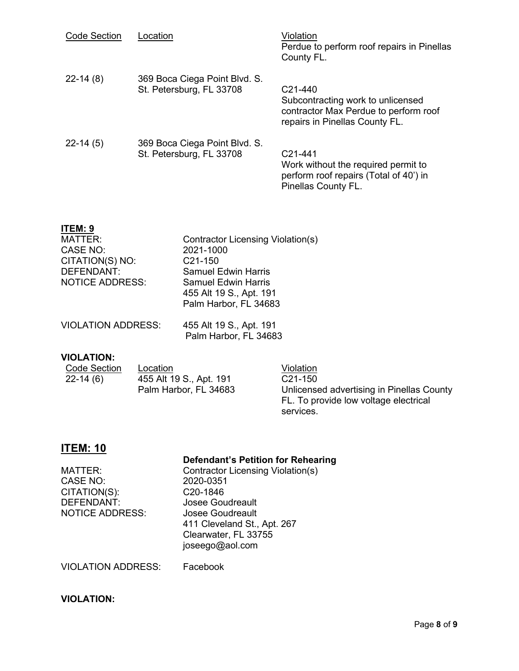| <b>Code Section</b> | Location                                                  | Violation<br>Perdue to perform roof repairs in Pinellas<br>County FL.                                                                |
|---------------------|-----------------------------------------------------------|--------------------------------------------------------------------------------------------------------------------------------------|
| $22-14(8)$          | 369 Boca Ciega Point Blvd. S.<br>St. Petersburg, FL 33708 | C <sub>21</sub> -440<br>Subcontracting work to unlicensed<br>contractor Max Perdue to perform roof<br>repairs in Pinellas County FL. |
| $22-14(5)$          | 369 Boca Ciega Point Blvd. S.<br>St. Petersburg, FL 33708 | C <sub>21</sub> -441<br>Work without the required permit to<br>perform roof repairs (Total of 40') in<br>Pinellas County FL.         |

## **ITEM: 9**

| MATTER:                | <b>Contractor Licensing Violation(s)</b> |
|------------------------|------------------------------------------|
| CASE NO:               | 2021-1000                                |
| CITATION(S) NO:        | C <sub>21</sub> -150                     |
| DEFENDANT:             | <b>Samuel Edwin Harris</b>               |
| <b>NOTICE ADDRESS:</b> | <b>Samuel Edwin Harris</b>               |
|                        | 455 Alt 19 S., Apt. 191                  |
|                        | Palm Harbor, FL 34683                    |
|                        |                                          |

| <b>VIOLATION ADDRESS:</b> | 455 Alt 19 S., Apt. 191 |
|---------------------------|-------------------------|
|                           | Palm Harbor, FL 34683   |

## **VIOLATION:**

| Code Section | Location                | Violation                                 |
|--------------|-------------------------|-------------------------------------------|
| $22-14(6)$   | 455 Alt 19 S., Apt. 191 | $C21-150$                                 |
|              | Palm Harbor, FL 34683   | Unlicensed advertising in Pinellas County |
|              |                         | FL. To provide low voltage electrical     |
|              |                         | services.                                 |

## **ITEM: 10**

## **Defendant's Petition for Rehearing**

| MATTER:         | <b>Contractor Licensing Violation(s)</b> |
|-----------------|------------------------------------------|
| CASE NO:        | 2020-0351                                |
| CITATION(S):    | C <sub>20</sub> -1846                    |
| DEFENDANT:      | <b>Josee Goudreault</b>                  |
| NOTICE ADDRESS: | <b>Josee Goudreault</b>                  |
|                 | 411 Cleveland St., Apt. 267              |
|                 | Clearwater, FL 33755                     |
|                 | joseego@aol.com                          |
|                 |                                          |

VIOLATION ADDRESS: Facebook

## **VIOLATION:**